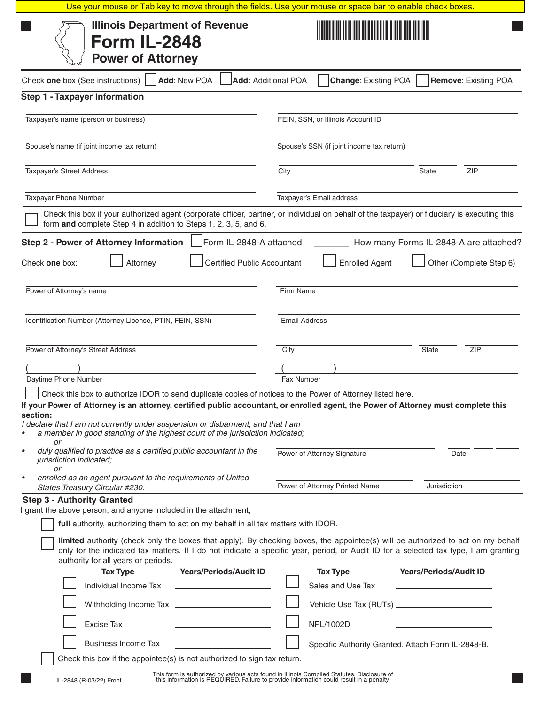| Use your mouse or Tab key to move through the fields. Use your mouse or space bar to enable check boxes.                                                                                                                                                                                                                                                                                                                                                                                                                  |                                                                                                                                                                                          |  |  |  |  |
|---------------------------------------------------------------------------------------------------------------------------------------------------------------------------------------------------------------------------------------------------------------------------------------------------------------------------------------------------------------------------------------------------------------------------------------------------------------------------------------------------------------------------|------------------------------------------------------------------------------------------------------------------------------------------------------------------------------------------|--|--|--|--|
| <b>Illinois Department of Revenue</b><br><b>Form IL-2848</b><br><b>Power of Attorney</b>                                                                                                                                                                                                                                                                                                                                                                                                                                  |                                                                                                                                                                                          |  |  |  |  |
| Add: New POA<br>Check one box (See instructions)                                                                                                                                                                                                                                                                                                                                                                                                                                                                          | <b>Change: Existing POA</b><br><b>Remove: Existing POA</b><br><b>Add: Additional POA</b>                                                                                                 |  |  |  |  |
| Step 1 - Taxpayer Information                                                                                                                                                                                                                                                                                                                                                                                                                                                                                             |                                                                                                                                                                                          |  |  |  |  |
| Taxpayer's name (person or business)                                                                                                                                                                                                                                                                                                                                                                                                                                                                                      | FEIN, SSN, or Illinois Account ID                                                                                                                                                        |  |  |  |  |
| Spouse's name (if joint income tax return)                                                                                                                                                                                                                                                                                                                                                                                                                                                                                | Spouse's SSN (if joint income tax return)                                                                                                                                                |  |  |  |  |
| Taxpayer's Street Address                                                                                                                                                                                                                                                                                                                                                                                                                                                                                                 | City<br>State<br>ZIP                                                                                                                                                                     |  |  |  |  |
| Taxpayer Phone Number                                                                                                                                                                                                                                                                                                                                                                                                                                                                                                     | Taxpayer's Email address                                                                                                                                                                 |  |  |  |  |
| form and complete Step 4 in addition to Steps 1, 2, 3, 5, and 6.                                                                                                                                                                                                                                                                                                                                                                                                                                                          | Check this box if your authorized agent (corporate officer, partner, or individual on behalf of the taxpayer) or fiduciary is executing this                                             |  |  |  |  |
| <b>Step 2 - Power of Attorney Information</b><br>Form IL-2848-A attached<br><b>Certified Public Accountant</b>                                                                                                                                                                                                                                                                                                                                                                                                            | How many Forms IL-2848-A are attached?                                                                                                                                                   |  |  |  |  |
| Attorney<br>Check one box:                                                                                                                                                                                                                                                                                                                                                                                                                                                                                                | <b>Enrolled Agent</b><br>Other (Complete Step 6)                                                                                                                                         |  |  |  |  |
| Power of Attorney's name                                                                                                                                                                                                                                                                                                                                                                                                                                                                                                  | <b>Firm Name</b>                                                                                                                                                                         |  |  |  |  |
| Identification Number (Attorney License, PTIN, FEIN, SSN)                                                                                                                                                                                                                                                                                                                                                                                                                                                                 | <b>Email Address</b>                                                                                                                                                                     |  |  |  |  |
| Power of Attorney's Street Address                                                                                                                                                                                                                                                                                                                                                                                                                                                                                        | City<br><b>State</b><br><b>ZIP</b>                                                                                                                                                       |  |  |  |  |
|                                                                                                                                                                                                                                                                                                                                                                                                                                                                                                                           |                                                                                                                                                                                          |  |  |  |  |
| Daytime Phone Number                                                                                                                                                                                                                                                                                                                                                                                                                                                                                                      | <b>Fax Number</b>                                                                                                                                                                        |  |  |  |  |
| Check this box to authorize IDOR to send duplicate copies of notices to the Power of Attorney listed here.<br>If your Power of Attorney is an attorney, certified public accountant, or enrolled agent, the Power of Attorney must complete this<br>section:<br>I declare that I am not currently under suspension or disbarment, and that I am<br>a member in good standing of the highest court of the jurisdiction indicated;<br>or<br>duly qualified to practice as a certified public accountant in the<br>$\bullet$ | Power of Attorney Signature<br>Date                                                                                                                                                      |  |  |  |  |
| jurisdiction indicated;<br>or                                                                                                                                                                                                                                                                                                                                                                                                                                                                                             |                                                                                                                                                                                          |  |  |  |  |
| enrolled as an agent pursuant to the requirements of United<br>States Treasury Circular #230.                                                                                                                                                                                                                                                                                                                                                                                                                             | Power of Attorney Printed Name<br>Jurisdiction                                                                                                                                           |  |  |  |  |
| <b>Step 3 - Authority Granted</b><br>I grant the above person, and anyone included in the attachment,<br>full authority, authorizing them to act on my behalf in all tax matters with IDOR.                                                                                                                                                                                                                                                                                                                               | limited authority (check only the boxes that apply). By checking boxes, the appointee(s) will be authorized to act on my behalf                                                          |  |  |  |  |
| authority for all years or periods.<br><b>Tax Type</b><br><b>Years/Periods/Audit ID</b>                                                                                                                                                                                                                                                                                                                                                                                                                                   | only for the indicated tax matters. If I do not indicate a specific year, period, or Audit ID for a selected tax type, I am granting<br><b>Tax Type</b><br><b>Years/Periods/Audit ID</b> |  |  |  |  |
| Individual Income Tax                                                                                                                                                                                                                                                                                                                                                                                                                                                                                                     | Sales and Use Tax                                                                                                                                                                        |  |  |  |  |
| <b>Excise Tax</b>                                                                                                                                                                                                                                                                                                                                                                                                                                                                                                         | NPL/1002D                                                                                                                                                                                |  |  |  |  |
| <b>Business Income Tax</b>                                                                                                                                                                                                                                                                                                                                                                                                                                                                                                | Specific Authority Granted. Attach Form IL-2848-B.                                                                                                                                       |  |  |  |  |
| Check this box if the appointee(s) is not authorized to sign tax return.                                                                                                                                                                                                                                                                                                                                                                                                                                                  |                                                                                                                                                                                          |  |  |  |  |
| IL-2848 (R-03/22) Front                                                                                                                                                                                                                                                                                                                                                                                                                                                                                                   | This form is authorized by various acts found in Illinois Compiled Statutes. Disclosure of this information is REQUIRED. Failure to provide information could result in a penalty.       |  |  |  |  |